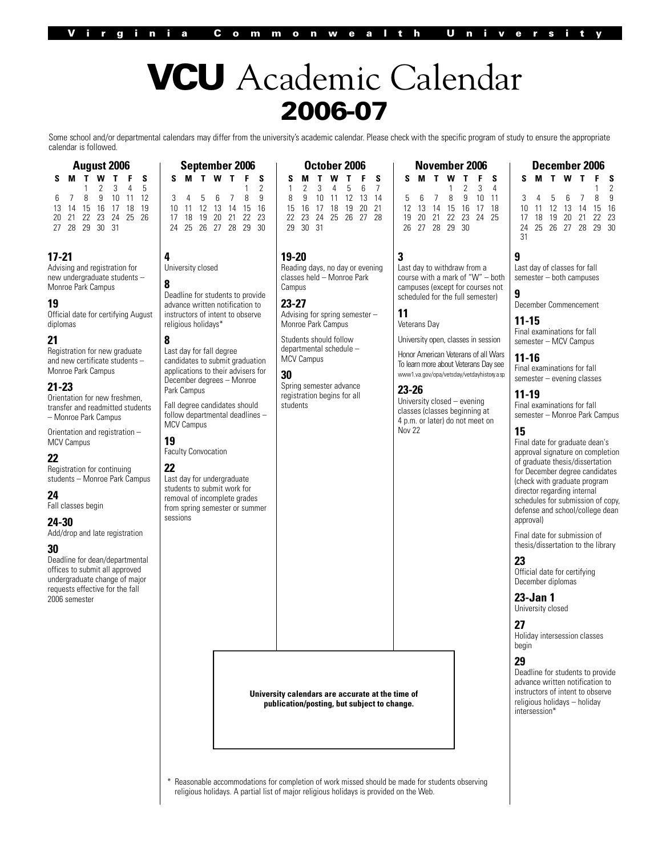# VCU Academic Calendar 2006-07

Some school and/or departmental calendars may differ from the university's academic calendar. Please check with the specific program of study to ensure the appropriate calendar is followed.

| <b>August 2006</b> |  |  |
|--------------------|--|--|

| S. | м | TWTFS                |  |            |
|----|---|----------------------|--|------------|
|    |   | $1 \t2 \t3$          |  | $4\quad 5$ |
|    |   | 6 7 8 9 10 11 12     |  |            |
|    |   | 13 14 15 16 17 18 19 |  |            |
|    |   | 20 21 22 23 24 25 26 |  |            |
|    |   | 27 28 29 30 31       |  |            |

#### **17-21**

Advising and registration for new undergraduate students – Monroe Park Campus

#### **19**

Official date for certifying August diplomas

#### **21**

Registration for new graduate and new certificate students – Monroe Park Campus

#### **21-23**

Orientation for new freshmen, transfer and readmitted students – Monroe Park Campus

Orientation and registration – MCV Campus

#### **22**

Registration for continuing students – Monroe Park Campus

### **24**

Fall classes begin

#### **24-30**

Add/drop and late registration

#### **30**

Deadline for dean/departmental offices to submit all approved undergraduate change of major requests effective for the fall 2006 semester

| September 2006 |                      |  |                |  |              |    |  |  |
|----------------|----------------------|--|----------------|--|--------------|----|--|--|
| s              |                      |  | <b>MTWT</b>    |  | -F           | s  |  |  |
|                |                      |  |                |  | $\mathbf{1}$ | -2 |  |  |
| 3 <sup>1</sup> |                      |  | 4 5 6 7 8      |  |              | q  |  |  |
|                | 10 11 12 13 14 15 16 |  |                |  |              |    |  |  |
| 17             | 18                   |  | 19 20 21 22 23 |  |              |    |  |  |
|                |                      |  | 25 26 27 28 29 |  |              |    |  |  |

University closed

#### **8** Deadline for students to provide advance written notification to instructors of intent to observe religious holidays\*

**8**

**4**

Last day for fall degree candidates to submit graduation applications to their advisers for December degrees – Monroe Park Campus

Fall degree candidates should follow departmental deadlines – MCV Campus

## **19**

Faculty Convocation **22**

Last day for undergraduate students to submit work for removal of incomplete grades from spring semester or summer sessions

| October 2006                           |    |           |                      |    |      |      |  |  |  |
|----------------------------------------|----|-----------|----------------------|----|------|------|--|--|--|
| S<br>s<br>F<br>$\mathbf{T}$<br>т.<br>w |    |           |                      |    |      |      |  |  |  |
|                                        |    |           | 2 3 4 5 6            |    |      |      |  |  |  |
| 8                                      | q  | <b>10</b> | 11 12 13             |    |      | 14   |  |  |  |
| 15                                     |    |           | 16 17 18             | 19 | - 20 | - 21 |  |  |  |
|                                        |    |           | 22 23 24 25 26 27 28 |    |      |      |  |  |  |
| 29                                     | 30 | 31        |                      |    |      |      |  |  |  |

**19-20** Reading days, no day or evening

classes held – Monroe Park Campus

**23-27** Advising for spring semester – Monroe Park Campus

Students should follow departmental schedule – MCV Campus

#### **30**

Spring semester advance registration begins for all students

**November 2006 S M T W T F S** 1 2 3 4 5 6 7 8 9 10 11 12 13 14 15 16 17 18 19 20 21 22 23 24 25 26 27 28 29 30

**3** Last day to withdraw from a course with a mark of "W" – both campuses (except for courses not scheduled for the full semester)

#### **11**

Veterans Day

University open, classes in session

Honor American Veterans of all Wars To learn more about Veterans Day see www1.va.gov/opa/vetsday/vetdayhistoryasp

#### **23-26**

University closed – evening classes (classes beginning at 4 p.m. or later) do not meet on Nov 22



## **9**

Last day of classes for fall semester – both campuses

### **9**

December Commencement **11-15**

Final examinations for fall semester – MCV Campus

#### **11-16**

Final examinations for fall semester – evening classes

#### **11-19**

Final examinations for fall semester – Monroe Park Campus

#### **15**

Final date for graduate dean's approval signature on completion of graduate thesis/dissertation for December degree candidates (check with graduate program director regarding internal schedules for submission of copy, defense and school/college dean approval)

Final date for submission of thesis/dissertation to the library

#### **23**

Official date for certifying December diplomas

#### **23-Jan 1**

University closed

#### **27**

Holiday intersession classes begin

#### **29**

Deadline for students to provide advance written notification to instructors of intent to observe religious holidays – holiday intersession\*

**University calendars are accurate at the time of publication/posting, but subject to change.**

Reasonable accommodations for completion of work missed should be made for students observing religious holidays. A partial list of major religious holidays is provided on the Web.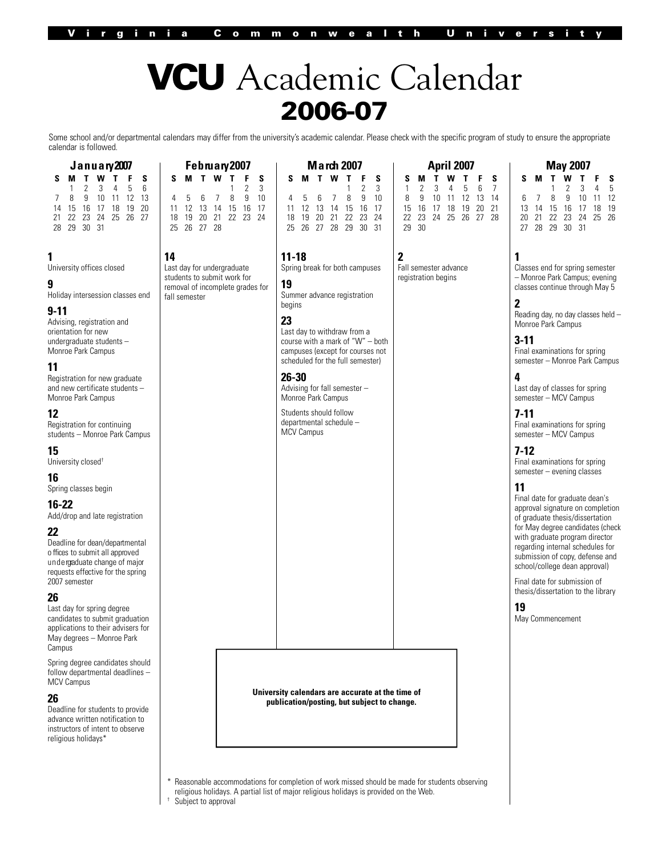# VCU Academic Calendar 2006-07

Some school and/or departmental calendars may differ from the university's academic calendar. Please check with the specific program of study to ensure the appropriate calendar is followed.

> **M a rch 2007 S M T W T F S**

 5 6 7 8 9 10 12 13 14 15 16 17 19 20 21 22 23 24 26 27 28 29 30 31

 $\begin{array}{ccc} 1 & 2 & 3 \\ 8 & 9 & 10 \end{array}$ 

| January 2007 |  |             |                      |  |     |   |  |  |  |
|--------------|--|-------------|----------------------|--|-----|---|--|--|--|
| s            |  |             | <b>MTWT</b>          |  | - F | S |  |  |  |
|              |  |             | $1 \t2 \t3 \t4 \t5$  |  |     | հ |  |  |  |
| 7            |  |             | 8 9 10 11 12 13      |  |     |   |  |  |  |
|              |  |             | 14 15 16 17 18 19 20 |  |     |   |  |  |  |
|              |  |             | 21 22 23 24 25 26 27 |  |     |   |  |  |  |
|              |  | 28 29 30 31 |                      |  |     |   |  |  |  |

**1**

University offices closed

#### **9**

Holiday intersession classes end

#### **9-11**

Advising, registration and orientation for new undergraduate students – Monroe Park Campus

#### **11**

Registration for new graduate and new certificate students – Monroe Park Campus

#### **12**

Registration for continuing students – Monroe Park Campus

**15**

University closed†

### **16**

Spring classes begin

### **16-22**

Add/drop and late registration

#### **22**

Deadline for dean/departmental o ffices to submit all approved und e rgaduate change of major requests effective for the spring 2007 semester

#### **26**

Last day for spring degree candidates to submit graduation applications to their advisers for May degrees – Monroe Park Campus

Spring degree candidates should follow departmental deadlines – MCV Campus

#### **26**

Deadline for students to provide advance written notification to instructors of intent to observe religious holidays\*

| 14                               |
|----------------------------------|
| Last day for undergraduate       |
| students to submit work for      |
| removal of incomplete grades for |
| fall semester                    |
|                                  |

**F e b ru a ry 2007 S M T W T F S**

11 12 13 14 15 16 17 18 19 20 21 22 23 24

 $4\ 5\ 6\ 7$ 

25 26 27 28

 $\begin{matrix} 1 & 2 & 3 \\ 8 & 9 & 10 \end{matrix}$ 

#### **23**

**19**

begins

**11-18**

Last day to withdraw from a course with a mark of "W" – both campuses (except for courses not scheduled for the full semester)

Spring break for both campuses

Summer advance registration

**26-30**

Advising for fall semester – Monroe Park Campus Students should follow

departmental schedule – MCV Campus

| <b>April 2007</b>                  |    |                      |             |  |  |     |  |  |  |
|------------------------------------|----|----------------------|-------------|--|--|-----|--|--|--|
| W T<br>$\mathbf{T}$<br>F<br>s<br>s |    |                      |             |  |  |     |  |  |  |
|                                    |    | 2 3 4 5 6            |             |  |  | - 7 |  |  |  |
| 8                                  | 9  |                      | 10 11 12 13 |  |  | 14  |  |  |  |
|                                    |    | 15 16 17 18 19 20 21 |             |  |  |     |  |  |  |
|                                    |    | 22 23 24 25 26 27 28 |             |  |  |     |  |  |  |
| 29                                 | 30 |                      |             |  |  |     |  |  |  |

**2** Fall semester advance registration begins

**1** 20 21 22 23 24 25 26 27 28 29 30 31

Classes end for spring semester – Monroe Park Campus; evening classes continue through May 5

**May 2007 S M T W T F S** 1 2 3 4 5 6 7 8 9 10 11 12 13 14 15 16 17 18 19

#### **2**

Reading day, no day classes held – Monroe Park Campus

#### **3-11**

Final examinations for spring semester – Monroe Park Campus

#### **4**

Last day of classes for spring semester – MCV Campus

#### **7-11**

Final examinations for spring semester – MCV Campus

#### **7-12**

Final examinations for spring semester – evening classes

#### **11**

Final date for graduate dean's approval signature on completion of graduate thesis/dissertation for May degree candidates (check with graduate program director regarding internal schedules for submission of copy, defense and school/college dean approval)

Final date for submission of thesis/dissertation to the library

#### **19**

May Commencement

**University calendars are accurate at the time of publication/posting, but subject to change.**

Reasonable accommodations for completion of work missed should be made for students observing

religious holidays. A partial list of major religious holidays is provided on the Web.

Subject to approval